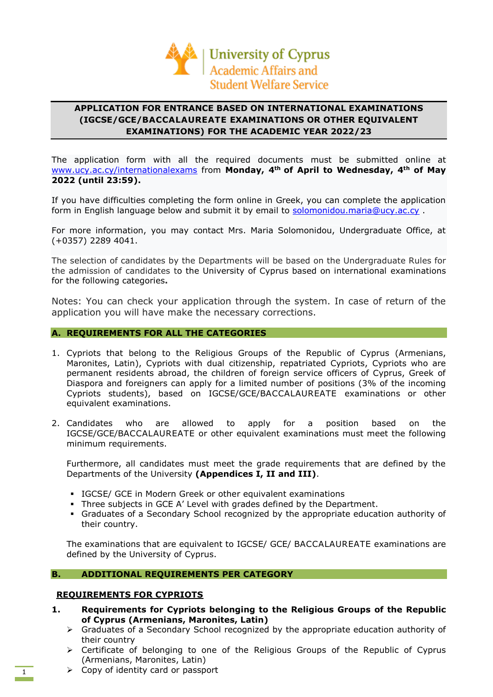

# **APPLICATION FOR ENTRANCE BASED ON INTERNATIONAL EXAMINATIONS (IGCSE/GCE/BACCALAUREATE EXAMINATIONS OR OTHER EQUIVALENT EXAMINATIONS) FOR THE ACADEMIC YEAR 2022/23**

The application form with all the required documents must be submitted online at [www.ucy.ac.cy/internationalexams](http://www.ucy.ac.cy/internationalexams) from **Monday, 4th of April to Wednesday, 4th of May 2022 (until 23:59).** 

If you have difficulties completing the form online in Greek, you can complete the application form in English language below and submit it by email to [solomonidou.maria@ucy.ac.cy](mailto:solomonidou.maria@ucy.ac.cy).

For more information, you may contact Mrs. Maria Solomonidou, Undergraduate Office, at (+0357) 2289 4041.

The selection of candidates by the Departments will be based on the Undergraduate Rules for the admission of candidates to the University of Cyprus based on international examinations for the following categories**.**

Notes: You can check your application through the system. In case of return of the application you will have make the necessary corrections.

## **A. REQUIREMENTS FOR ALL THE CATEGORIES**

- 1. Cypriots that belong to the Religious Groups of the Republic of Cyprus (Armenians, Maronites, Latin), Cypriots with dual citizenship, repatriated Cypriots, Cypriots who are permanent residents abroad, the children of foreign service officers of Cyprus, Greek of Diaspora and foreigners can apply for a limited number of positions (3% of the incoming Cypriots students), based on IGCSE/GCE/BACCALAUREATE examinations or other equivalent examinations.
- 2. Candidates who are allowed to apply for a position based on the IGCSE/GCE/BACCALAUREATE or other equivalent examinations must meet the following minimum requirements.

Furthermore, all candidates must meet the grade requirements that are defined by the Departments of the University **(Appendices I, II and III)**.

- **IGCSE/ GCE in Modern Greek or other equivalent examinations**
- Three subjects in GCE A' Level with grades defined by the Department.
- Graduates of a Secondary School recognized by the appropriate education authority of their country.

The examinations that are equivalent to IGCSE/ GCE/ ΒACCALAUREATE examinations are defined by the University of Cyprus.

## **B. ADDITIONAL REQUIREMENTS PER CATEGORY**

#### **REQUIREMENTS FOR CYPRIOTS**

- **1. Requirements for Cypriots belonging to the Religious Groups of the Republic of Cyprus (Armenians, Maronites, Latin)**
	- ➢ Graduates of a Secondary School recognized by the appropriate education authority of their country
	- ➢ Certificate of belonging to one of the Religious Groups of the Republic of Cyprus (Armenians, Maronites, Latin)
	- ➢ Copy of identity card or passport

1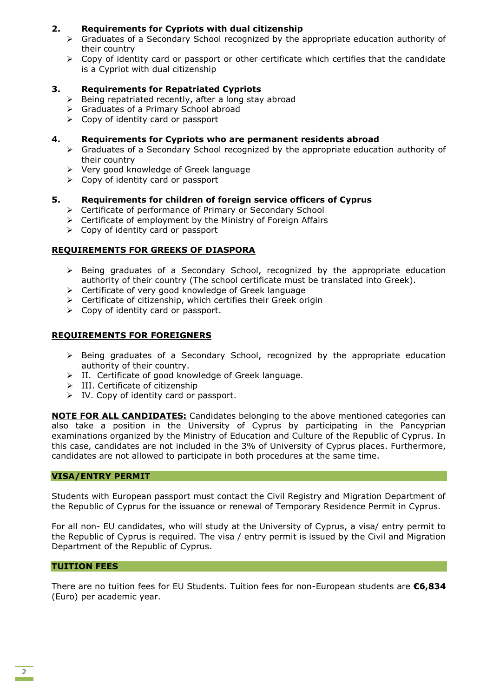## **2. Requirements for Cypriots with dual citizenship**

- $\triangleright$  Graduates of a Secondary School recognized by the appropriate education authority of their country
- ➢ Copy of identity card or passport or other certificate which certifies that the candidate is a Cypriot with dual citizenship

## **3. Requirements for Repatriated Cypriots**

- $\triangleright$  Being repatriated recently, after a long stay abroad
- ➢ Graduates of a Primary School abroad
- ➢ Copy of identity card or passport

## **4. Requirements for Cypriots who are permanent residents abroad**

- ➢ Graduates of a Secondary School recognized by the appropriate education authority of their country
- ➢ Very good knowledge of Greek language
- ➢ Copy of identity card or passport

## **5. Requirements for children of foreign service officers of Cyprus**

- ➢ Certificate of performance of Primary or Secondary School
- ➢ Certificate of employment by the Ministry of Foreign Affairs
- $\triangleright$  Copy of identity card or passport

## **REQUIREMENTS FOR GREEKS OF DIASPORA**

- ➢ Being graduates of a Secondary School, recognized by the appropriate education authority of their country (The school certificate must be translated into Greek).
- ➢ Certificate of very good knowledge of Greek language
- $\triangleright$  Certificate of citizenship, which certifies their Greek origin
- $\triangleright$  Copy of identity card or passport.

## **REQUIREMENTS FOR FOREIGNERS**

- ➢ Being graduates of a Secondary School, recognized by the appropriate education authority of their country.
- ➢ ΙΙ. Certificate of good knowledge of Greek language.
- ➢ ΙΙΙ. Certificate of citizenship
- ➢ IV. Copy of identity card or passport.

**NOTE FOR ALL CANDIDATES:** Candidates belonging to the above mentioned categories can also take a position in the University of Cyprus by participating in the Pancyprian examinations organized by the Ministry of Education and Culture of the Republic of Cyprus. In this case, candidates are not included in the 3% of University of Cyprus places. Furthermore, candidates are not allowed to participate in both procedures at the same time.

## **VISA/ENTRY PERMIT**

Students with European passport must contact the Civil Registry and Migration Department of the Republic of Cyprus for the issuance or renewal of Temporary Residence Permit in Cyprus.

For all non- EU candidates, who will study at the University of Cyprus, a visa/ entry permit to the Republic of Cyprus is required. The visa / entry permit is issued by the Civil and Migration Department of the Republic of Cyprus.

## **TUITION FEES**

There are no tuition fees for EU Students. Tuition fees for non-European students are **€6,834** (Euro) per academic year.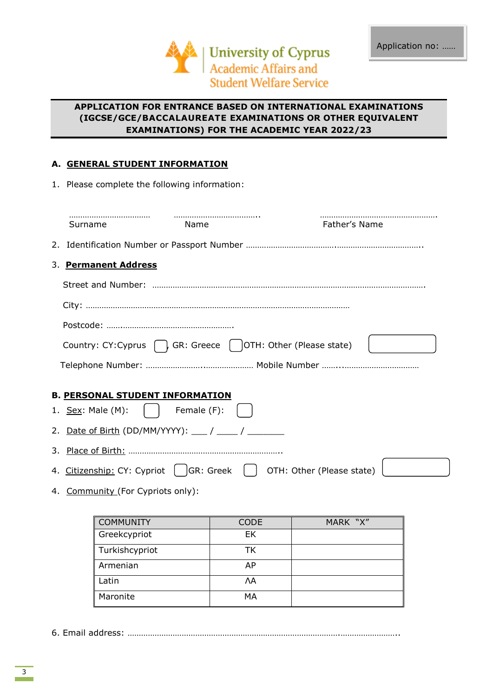

# **APPLICATION FOR ENTRANCE BASED ON INTERNATIONAL EXAMINATIONS (IGCSE/GCE/BACCALAUREATE EXAMINATIONS OR OTHER EQUIVALENT EXAMINATIONS) FOR THE ACADEMIC YEAR 2022/23**

# **Α. GENERAL STUDENT INFORMATION**

| 1. Please complete the following information:                                  |             |             |               |  |
|--------------------------------------------------------------------------------|-------------|-------------|---------------|--|
| Surname                                                                        | Name        |             | Father's Name |  |
|                                                                                |             |             |               |  |
| 3. Permanent Address                                                           |             |             |               |  |
|                                                                                |             |             |               |  |
|                                                                                |             |             |               |  |
|                                                                                |             |             |               |  |
| Country: CY: Cyprus $\bigcap$ , GR: Greece $\bigcap$ OTH: Other (Please state) |             |             |               |  |
|                                                                                |             |             |               |  |
| <b>B. PERSONAL STUDENT INFORMATION</b>                                         |             |             |               |  |
| 1. Sex: Male (M):                                                              | Female (F): |             |               |  |
|                                                                                |             |             |               |  |
|                                                                                |             |             |               |  |
| 4. Citizenship: CY: Cypriot   GR: Greek   OTH: Other (Please state)            |             |             |               |  |
| 4. Community (For Cypriots only):                                              |             |             |               |  |
|                                                                                |             |             |               |  |
| <b>COMMUNITY</b>                                                               |             | <b>CODE</b> | MARK "X"      |  |
| Greekcypriot                                                                   |             | EK          |               |  |

Turkishcypriot TK Armenian and AP Latin ΛΑ Maronite MA

6. Email address: ………………………………………………………………………………….……………………..

3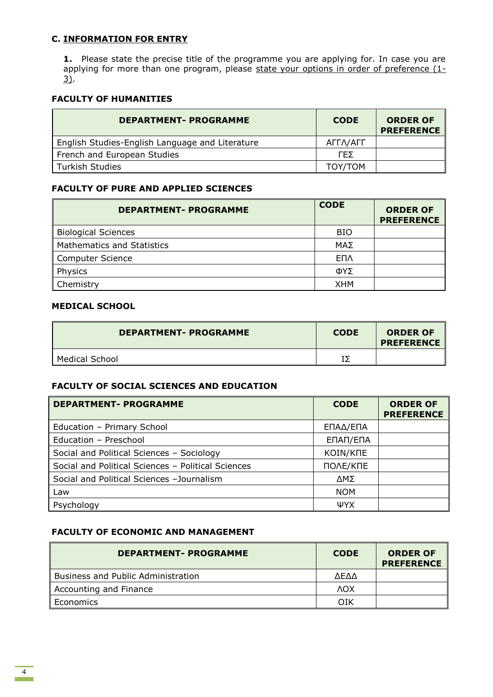## **C. INFORMATION FOR ENTRY**

**1.** Please state the precise title of the programme you are applying for. In case you are applying for more than one program, please state your options in order of preference  $(1-$ 3).

# **FACULTY OF HUMANITIES**

| <b>DEPARTMENT- PROGRAMME</b>                    | <b>CODE</b> | <b>ORDER OF</b><br><b>PREFERENCE</b> |
|-------------------------------------------------|-------------|--------------------------------------|
| English Studies-English Language and Literature | ΑΓΓΛ/ΑΓΓ    |                                      |
| French and European Studies                     | ΓFΣ         |                                      |
| <b>Turkish Studies</b>                          | TOY/TOM     |                                      |

## **FACULTY OF PURE AND APPLIED SCIENCES**

| <b>DEPARTMENT- PROGRAMME</b>      | <b>CODE</b> | <b>ORDER OF</b><br><b>PREFERENCE</b> |
|-----------------------------------|-------------|--------------------------------------|
| <b>Biological Sciences</b>        | <b>BIO</b>  |                                      |
| <b>Mathematics and Statistics</b> | ΜΑΣ         |                                      |
| Computer Science                  | <b>ENV</b>  |                                      |
| Physics                           | ΦΥΣ         |                                      |
| Chemistry                         | <b>XHM</b>  |                                      |

# **MEDICAL SCHOOL**

| <b>DEPARTMENT- PROGRAMME</b> | <b>CODE</b> | <b>ORDER OF</b><br><b>PREFERENCE</b> |
|------------------------------|-------------|--------------------------------------|
| Medical School               |             |                                      |

# **FACULTY OF SOCIAL SCIENCES AND EDUCATION**

| <b>DEPARTMENT- PROGRAMME</b>                       | <b>CODE</b> | <b>ORDER OF</b><br><b>PREFERENCE</b> |
|----------------------------------------------------|-------------|--------------------------------------|
| Education - Primary School                         | ΕΠΑΔ/ΕΠΑ    |                                      |
| Education - Preschool                              | ΕΠΑΠ/ΕΠΑ    |                                      |
| Social and Political Sciences - Sociology          | KOIN/KNE    |                                      |
| Social and Political Sciences - Political Sciences | ПОЛЕ/КПЕ    |                                      |
| Social and Political Sciences -Journalism          | ΔΜΣ         |                                      |
| Law                                                | <b>NOM</b>  |                                      |
| Psychology                                         | ΨYΧ         |                                      |

# **FACULTY OF ECONOMIC AND MANAGEMENT**

| <b>DEPARTMENT- PROGRAMME</b>              | <b>CODE</b> | <b>ORDER OF</b><br><b>PREFERENCE</b> |
|-------------------------------------------|-------------|--------------------------------------|
| <b>Business and Public Administration</b> | <b>AFAA</b> |                                      |
| Accounting and Finance                    | <b>AOX</b>  |                                      |
| Economics                                 | OIK         |                                      |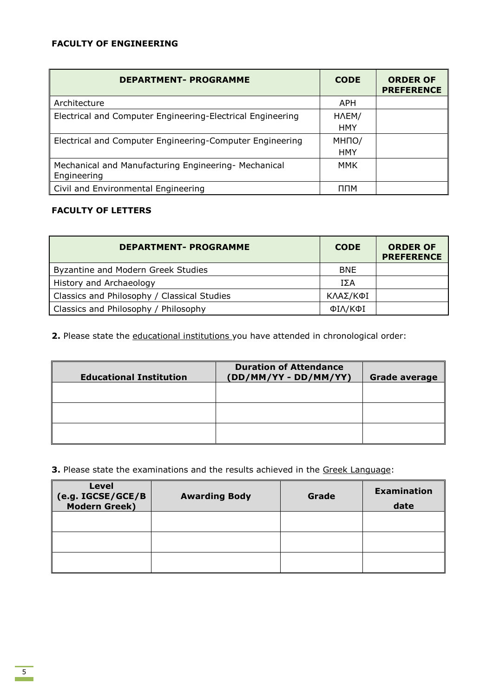# **FACULTY OF ENGINEERING**

| <b>DEPARTMENT- PROGRAMME</b>                                        | <b>CODE</b>         | <b>ORDER OF</b><br><b>PREFERENCE</b> |
|---------------------------------------------------------------------|---------------------|--------------------------------------|
| Architecture                                                        | <b>APH</b>          |                                      |
| Electrical and Computer Engineering-Electrical Engineering          | HAEM/<br><b>HMY</b> |                                      |
| Electrical and Computer Engineering-Computer Engineering            | МНПО/<br><b>HMY</b> |                                      |
| Mechanical and Manufacturing Engineering- Mechanical<br>Engineering | MMK                 |                                      |
| Civil and Environmental Engineering                                 | ППМ                 |                                      |

## **FACULTY OF LETTERS**

| <b>DEPARTMENT- PROGRAMME</b>                | <b>CODE</b> | <b>ORDER OF</b><br><b>PREFERENCE</b> |
|---------------------------------------------|-------------|--------------------------------------|
| Byzantine and Modern Greek Studies          | <b>BNE</b>  |                                      |
| History and Archaeology                     | ΙΣΑ         |                                      |
| Classics and Philosophy / Classical Studies | ΚΛΑΣ/ΚΦΙ    |                                      |
| Classics and Philosophy / Philosophy        | ΦΙΛ/ΚΦΙ     |                                      |

2. Please state the educational institutions you have attended in chronological order:

| <b>Educational Institution</b> | <b>Duration of Attendance</b><br>(DD/MM/YY - DD/MM/YY) | Grade average |
|--------------------------------|--------------------------------------------------------|---------------|
|                                |                                                        |               |
|                                |                                                        |               |
|                                |                                                        |               |

**3.** Please state the examinations and the results achieved in the Greek Language:

| <b>Level</b><br>(e.g. IGCSE/GCE/B<br>Modern Greek) | <b>Awarding Body</b> | Grade | <b>Examination</b><br>date |
|----------------------------------------------------|----------------------|-------|----------------------------|
|                                                    |                      |       |                            |
|                                                    |                      |       |                            |
|                                                    |                      |       |                            |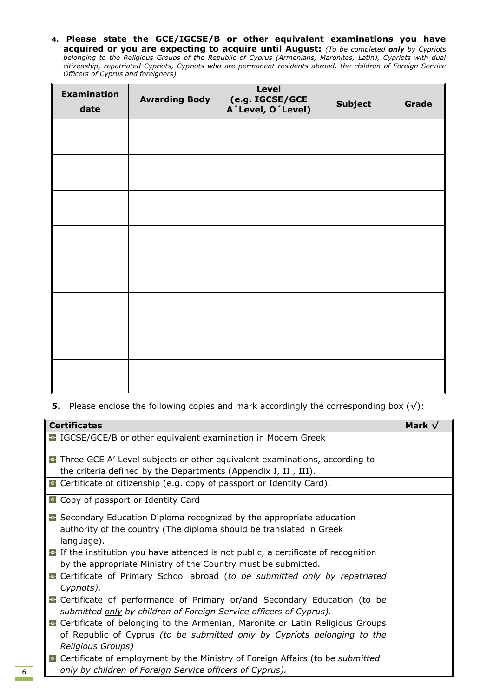**4. Please state the GCE/IGCSE/Β or other equivalent examinations you have acquired or you are expecting to acquire until August:** *(To be completed only by Cypriots belonging to the Religious Groups of the Republic of Cyprus (Armenians, Maronites, Latin), Cypriots with dual citizenship, repatriated Cypriots, Cypriots who are permanent residents abroad, the children of Foreign Service Officers of Cyprus and foreigners)*

| <b>Examination</b><br>date | <b>Awarding Body</b> | <b>Level</b><br>(e.g. IGCSE/GCE<br>A'Level, O'Level) | <b>Subject</b> | Grade |
|----------------------------|----------------------|------------------------------------------------------|----------------|-------|
|                            |                      |                                                      |                |       |
|                            |                      |                                                      |                |       |
|                            |                      |                                                      |                |       |
|                            |                      |                                                      |                |       |
|                            |                      |                                                      |                |       |
|                            |                      |                                                      |                |       |
|                            |                      |                                                      |                |       |
|                            |                      |                                                      |                |       |

**5.** Please enclose the following copies and mark accordingly the corresponding box (√):

| <b>Certificates</b>                                                                       | Mark $\sqrt{}$ |
|-------------------------------------------------------------------------------------------|----------------|
| <b>E</b> IGCSE/GCE/B or other equivalent examination in Modern Greek                      |                |
| <b>E</b> Three GCE A' Level subjects or other equivalent examinations, according to       |                |
| the criteria defined by the Departments (Appendix I, II, III).                            |                |
| <b>R</b> Certificate of citizenship (e.g. copy of passport or Identity Card).             |                |
| <b>E</b> Copy of passport or Identity Card                                                |                |
| ■ Secondary Education Diploma recognized by the appropriate education                     |                |
| authority of the country (The diploma should be translated in Greek                       |                |
| language).                                                                                |                |
| <b>E</b> If the institution you have attended is not public, a certificate of recognition |                |
| by the appropriate Ministry of the Country must be submitted.                             |                |
| <b>E</b> Certificate of Primary School abroad (to be submitted only by repatriated        |                |
| Cypriots).                                                                                |                |
| <b>R</b> Certificate of performance of Primary or/and Secondary Education (to be          |                |
| submitted only by children of Foreign Service officers of Cyprus).                        |                |
| <b>E</b> Certificate of belonging to the Armenian, Maronite or Latin Religious Groups     |                |
| of Republic of Cyprus (to be submitted only by Cypriots belonging to the                  |                |
| Religious Groups)                                                                         |                |
| Certificate of employment by the Ministry of Foreign Affairs (to be submitted             |                |
| only by children of Foreign Service officers of Cyprus).                                  |                |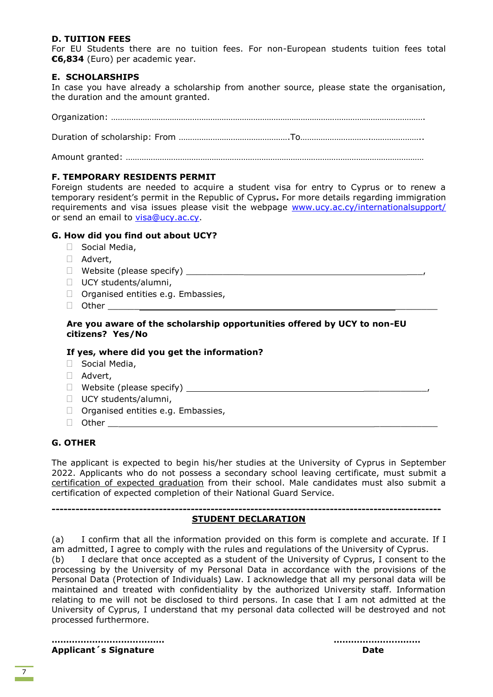## **D. TUITION FEES**

For EU Students there are no tuition fees. For non-European students tuition fees total **€6,834** (Euro) per academic year.

## **E. SCHOLARSHIPS**

In case you have already a scholarship from another source, please state the organisation, the duration and the amount granted.

Organization: …………………………………………………………………………………………………………………………. Duration of scholarship: From ………………………………………….To………………………….…………………..

Amount granted: ……………………………………………………………………………………………………………………

## **F. TEMPORARY RESIDENTS PERMIT**

Foreign students are needed to acquire a student visa for entry to Cyprus or to renew a temporary resident's permit in the Republic of Cyprus**.** For more details regarding immigration requirements and visa issues please visit the webpage [www.ucy.ac.cy/internationalsupport/](http://www.ucy.ac.cy/internationalsupport/) or send an email to [visa@ucy.ac.cy.](mailto:visa@ucy.ac.cy)

## **G. How did you find out about UCY?**

- □ Social Media,
- □ Advert,
- $\Box$  Website (please specify)  $\Box$
- □ UCY students/alumni,
- $\Box$  Organised entities e.g. Embassies,
- Other \_\_\_\_\_\_ \_\_\_\_\_\_\_\_

## **Are you aware of the scholarship opportunities offered by UCY to non-EU citizens? Yes/No**

## **If yes, where did you get the information?**

- □ Social Media,
- Advert,
- $\Box$  Website (please specify)  $\Box$
- □ UCY students/alumni,
- $\Box$  Organised entities e.g. Embassies,
- $\Box$  Other

## **G. OTHER**

The applicant is expected to begin his/her studies at the University of Cyprus in September 2022. Applicants who do not possess a secondary school leaving certificate, must submit a certification of expected graduation from their school. Male candidates must also submit a certification of expected completion of their National Guard Service.

#### **-------------------------------------------------------------------------------------------------- STUDENT DECLARATION**

(a) I confirm that all the information provided on this form is complete and accurate. If I am admitted, I agree to comply with the rules and regulations of the University of Cyprus.

(b) I declare that once accepted as a student of the University of Cyprus, I consent to the processing by the University of my Personal Data in accordance with the provisions of the Personal Data (Protection of Individuals) Law. I acknowledge that all my personal data will be maintained and treated with confidentiality by the authorized University staff. Information relating to me will not be disclosed to third persons. In case that I am not admitted at the University of Cyprus, I understand that my personal data collected will be destroyed and not processed furthermore.

**………………………………… ………………………… Applicant´s Signature data and a strategies of the Date of Date**  $\blacksquare$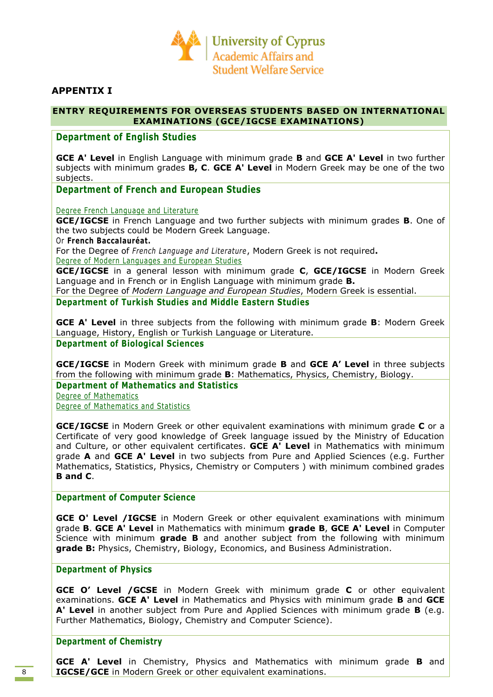

## **APPENTIX I**

## **ENTRY REQUIREMENTS FOR OVERSEAS STUDENTS BASED ON INTERNATIONAL EXAMINATIONS (GCE/IGCSE EXAMINATIONS)**

## **Department of English Studies**

**GCE A' Level** in English Language with minimum grade **B** and **GCE A' Level** in two further subjects with minimum grades **B, C**. **GCE A' Level** in Modern Greek may be one of the two subjects.

## **Department of French and European Studies**

Degree French Language and Literature

**GCE/IGCSE** in French Language and two further subjects with minimum grades **B**. One of the two subjects could be Modern Greek Language.

Or **French Baccalauréat.**

For the Degree of *French Language and Literature*, Modern Greek is not required**.**

Degree of Modern Languages and European Studies

**GCE/IGCSE** in a general lesson with minimum grade **C**, **GCE/IGCSE** in Modern Greek Language and in French or in English Language with minimum grade **B.**

For the Degree of *Modern Language and European Studies*, Modern Greek is essential.

## **Department of Turkish Studies and Middle Eastern Studies**

**GCE A' Level** in three subjects from the following with minimum grade **B**: Modern Greek Language, History, English or Turkish Language or Literature.

**Department of Biological Sciences**

**GCE/IGCSE** in Modern Greek with minimum grade **B** and **GCE A' Level** in three subjects from the following with minimum grade **B**: Mathematics, Physics, Chemistry, Biology.

**Department of Mathematics and Statistics**

Degree of Mathematics Degree of Mathematics and Statistics

**GCE/IGCSE** in Modern Greek or other equivalent examinations with minimum grade **C** or a Certificate of very good knowledge of Greek language issued by the Ministry of Education and Culture, or other equivalent certificates. **GCE A' Level** in Mathematics with minimum grade **A** and **GCE A' Level** in two subjects from Pure and Applied Sciences (e.g. Further Mathematics, Statistics, Physics, Chemistry or Computers ) with minimum combined grades **B and C**.

## **Department of Computer Science**

**GCE O' Level /IGCSE** in Modern Greek or other equivalent examinations with minimum grade **B**. **GCE A' Level** in Mathematics with minimum **grade B**, **GCE A' Level** in Computer Science with minimum **grade B** and another subject from the following with minimum **grade B:** Physics, Chemistry, Biology, Economics, and Business Administration.

## **Department of Physics**

**GCE O' Level /GCSE** in Modern Greek with minimum grade **C** or other equivalent examinations. **GCE A' Level** in Mathematics and Physics with minimum grade **B** and **GCE A' Level** in another subject from Pure and Applied Sciences with minimum grade **B** (e.g. Further Mathematics, Biology, Chemistry and Computer Science).

## **Department of Chemistry**

**GCE A' Level** in Chemistry, Physics and Mathematics with minimum grade **B** and **IGCSE/GCE** in Modern Greek or other equivalent examinations.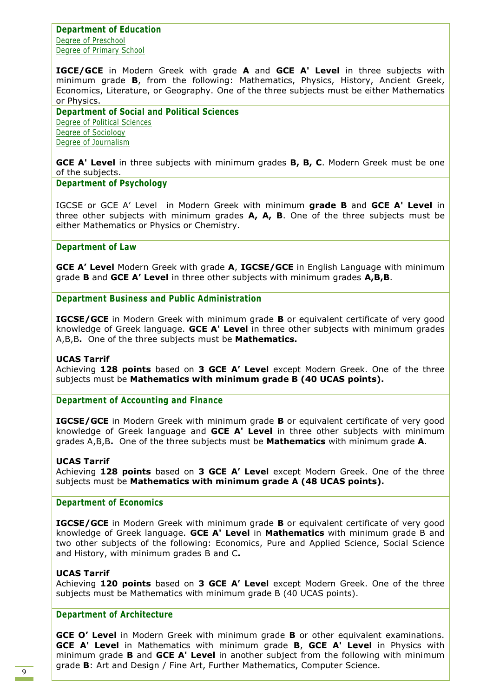**Department of Education** Degree of Preschool Degree of Primary School

**IGCE/GCE** in Modern Greek with grade **A** and **GCE A' Level** in three subjects with minimum grade **B**, from the following: Mathematics, Physics, History, Ancient Greek, Economics, Literature, or Geography. One of the three subjects must be either Mathematics or Physics.

**Department of Social and Political Sciences** Degree of Political Sciences Degree of Sociology Degree of Journalism

**GCE A' Level** in three subjects with minimum grades **B, B, C**. Modern Greek must be one of the subjects.

### **Department of Psychology**

IGCSE or GCE A' Level in Modern Greek with minimum **grade B** and **GCE A' Level** in three other subjects with minimum grades **A, A, B**. One of the three subjects must be either Mathematics or Physics or Chemistry.

### **Department of Law**

**GCE A' Level** Modern Greek with grade **A**, **IGCSE/GCE** in English Language with minimum grade **B** and **GCE A' Level** in three other subjects with minimum grades **A,B,B**.

**Department Business and Public Administration**

**IGCSE/GCE** in Modern Greek with minimum grade **B** or equivalent certificate of very good knowledge of Greek language. **GCE A' Level** in three other subjects with minimum grades A,B,B**.** One of the three subjects must be **Mathematics.**

## **UCAS Tarrif**

Achieving **128 points** based on **3 GCE A' Level** except Modern Greek. One of the three subjects must be **Mathematics with minimum grade B (40 UCAS points).** 

**Department of Accounting and Finance**

**IGCSE/GCE** in Modern Greek with minimum grade **B** or equivalent certificate of very good knowledge of Greek language and **GCE A' Level** in three other subjects with minimum grades A,B,B**.** One of the three subjects must be **Mathematics** with minimum grade **A**.

## **UCAS Tarrif**

Achieving **128 points** based on **3 GCE A' Level** except Modern Greek. One of the three subjects must be **Mathematics with minimum grade A (48 UCAS points).** 

## **Department of Economics**

**IGCSE/GCE** in Modern Greek with minimum grade **B** or equivalent certificate of very good knowledge of Greek language. **GCE A' Level** in **Mathematics** with minimum grade B and two other subjects of the following: Economics, Pure and Applied Science, Social Science and History, with minimum grades B and C**.** 

#### **UCAS Tarrif**

Achieving **120 points** based on **3 GCE A' Level** except Modern Greek. One of the three subjects must be Mathematics with minimum grade B (40 UCAS points).

## **Department of Architecture**

**GCE O' Level** in Modern Greek with minimum grade **B** or other equivalent examinations. **GCE A' Level** in Mathematics with minimum grade **B**, **GCE A' Level** in Physics with minimum grade **B** and **GCE A' Level** in another subject from the following with minimum grade **B**: Art and Design / Fine Art, Further Mathematics, Computer Science.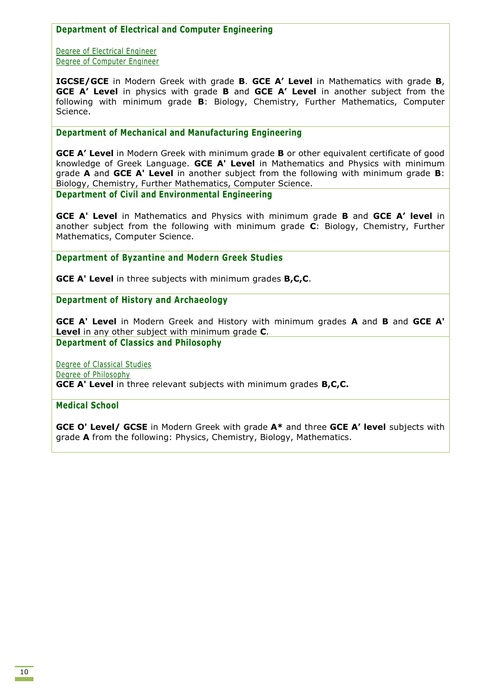**Department of Electrical and Computer Engineering**

Degree of Electrical Engineer Degree of Computer Engineer

**IGCSE/GCE** in Modern Greek with grade **B**. **GCE A' Level** in Mathematics with grade **B**, **GCE A' Level** in physics with grade **B** and **GCE A' Level** in another subject from the following with minimum grade **B**: Biology, Chemistry, Further Mathematics, Computer Science.

**Department of Mechanical and Manufacturing Engineering**

**GCE A' Level** in Modern Greek with minimum grade **B** or other equivalent certificate of good knowledge of Greek Language. **GCE A' Level** in Mathematics and Physics with minimum grade **A** and **GCE A' Level** in another subject from the following with minimum grade **B**: Biology, Chemistry, Further Mathematics, Computer Science. **Department of Civil and Environmental Engineering**

**GCE A' Level** in Mathematics and Physics with minimum grade **B** and **GCE A' level** in another subject from the following with minimum grade **C**: Biology, Chemistry, Further Mathematics, Computer Science.

**Department of Byzantine and Modern Greek Studies**

**GCE A' Level** in three subjects with minimum grades **B,C,C**.

**Department of History and Archaeology**

**GCE A' Level** in Modern Greek and History with minimum grades **A** and **B** and **GCE A' Level** in any other subject with minimum grade **C**.

**Department of Classics and Philosophy**

Degree of Classical Studies Degree of Philosophy **GCE A' Level** in three relevant subjects with minimum grades **B,C,C.**

**Medical School**

**GCE O' Level/ GCSE** in Modern Greek with grade **A\*** and three **GCE A' level** subjects with grade **A** from the following: Physics, Chemistry, Biology, Mathematics.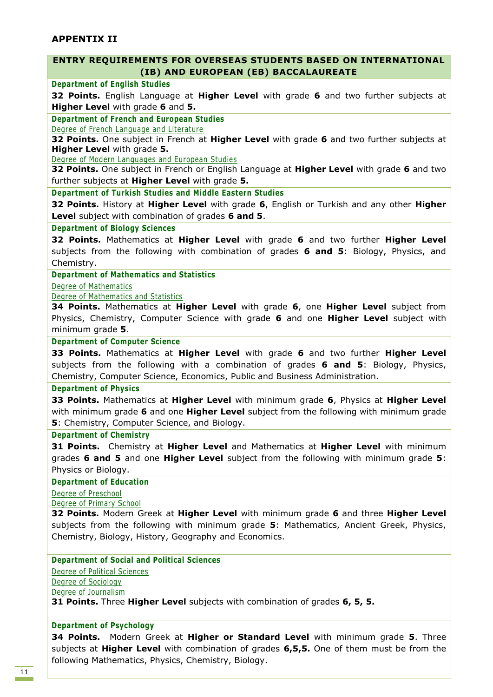## **APPENTIX II**

## **ENTRY REQUIREMENTS FOR OVERSEAS STUDENTS BASED ON INTERNATIONAL (IB) AND EUROPEAN (EB) BACCALAUREATE**

#### **Department of English Studies**

**32 Points.** English Language at **Higher Level** with grade **6** and two further subjects at **Higher Level** with grade **6** and **5.**

### **Department of French and European Studies**

Degree of French Language and Literature

**32 Points.** One subject in French at **Higher Level** with grade **6** and two further subjects at **Higher Level** with grade **5.**

Degree of Modern Languages and European Studies

**32 Points.** One subject in French or English Language at **Higher Level** with grade **6** and two further subjects at **Higher Level** with grade **5.**

**Department of Turkish Studies and Middle Eastern Studies**

**32 Points.** History at **Higher Level** with grade **6**, English or Turkish and any other **Higher Level** subject with combination of grades **6 and 5**.

#### **Department of Biology Sciences**

**32 Points.** Mathematics at **Higher Level** with grade **6** and two further **Higher Level** subjects from the following with combination of grades **6 and 5**: Biology, Physics, and Chemistry.

### **Department of Mathematics and Statistics**

Degree of Mathematics

Degree of Mathematics and Statistics

**34 Points.** Mathematics at **Higher Level** with grade **6**, one **Higher Level** subject from Physics, Chemistry, Computer Science with grade **6** and one **Higher Level** subject with minimum grade **5**.

## **Department of Computer Science**

**33 Points.** Mathematics at **Higher Level** with grade **6** and two further **Higher Level** subjects from the following with a combination of grades **6 and 5**: Biology, Physics, Chemistry, Computer Science, Economics, Public and Business Administration.

#### **Department of Physics**

**33 Points.** Mathematics at **Higher Level** with minimum grade **6**, Physics at **Higher Level** with minimum grade **6** and one **Higher Level** subject from the following with minimum grade **5**: Chemistry, Computer Science, and Biology.

#### **Department of Chemistry**

**31 Points.** Chemistry at **Higher Level** and Mathematics at **Higher Level** with minimum grades **6 and 5** and one **Higher Level** subject from the following with minimum grade **5**: Physics or Biology.

#### **Department of Education**

Degree of Preschool

Degree of Primary School

**32 Points.** Modern Greek at **Higher Level** with minimum grade **6** and three **Higher Level** subjects from the following with minimum grade **5**: Mathematics, Ancient Greek, Physics, Chemistry, Biology, History, Geography and Economics.

## **Department of Social and Political Sciences**

Degree of Political Sciences Degree of Sociology Degree of Journalism

**31 Points.** Three **Higher Level** subjects with combination of grades **6, 5, 5.**

#### **Department of Psychology**

**34 Points.** Modern Greek at **Higher or Standard Level** with minimum grade **5**. Three subjects at **Higher Level** with combination of grades **6,5,5.** One of them must be from the following Mathematics, Physics, Chemistry, Biology.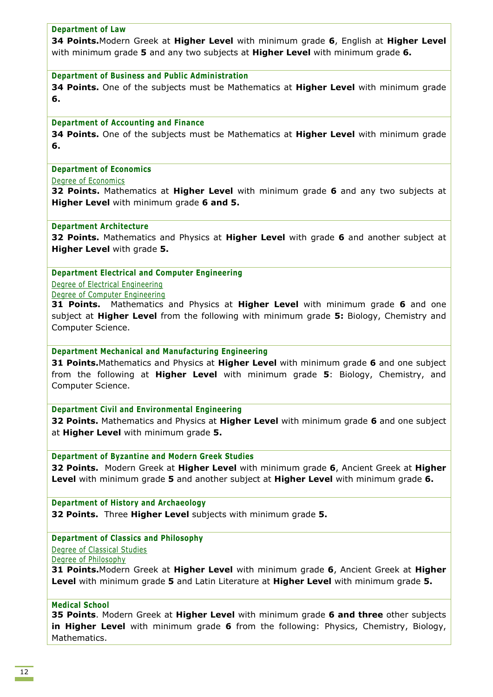## **Department of Law**

**34 Points.**Modern Greek at **Higher Level** with minimum grade **6**, English at **Higher Level** with minimum grade **5** and any two subjects at **Higher Level** with minimum grade **6.**

### **Department of Business and Public Administration**

**34 Points.** One of the subjects must be Mathematics at **Higher Level** with minimum grade **6.**

### **Department of Accounting and Finance**

**34 Points.** One of the subjects must be Mathematics at **Higher Level** with minimum grade **6.**

### **Department of Economics**

Degree of Economics

**32 Points.** Mathematics at **Higher Level** with minimum grade **6** and any two subjects at **Higher Level** with minimum grade **6 and 5.**

### **Department Architecture**

**32 Points.** Mathematics and Physics at **Higher Level** with grade **6** and another subject at **Higher Level** with grade **5.**

### **Department Electrical and Computer Engineering**

Degree of Electrical Engineering Degree of Computer Engineering

**31 Points.** Mathematics and Physics at **Higher Level** with minimum grade **6** and one subject at **Higher Level** from the following with minimum grade **5:** Biology, Chemistry and Computer Science.

**Department Mechanical and Manufacturing Engineering** 

**31 Points.**Mathematics and Physics at **Higher Level** with minimum grade **6** and one subject from the following at **Higher Level** with minimum grade **5**: Biology, Chemistry, and Computer Science.

#### **Department Civil and Environmental Engineering**

**32 Points.** Mathematics and Physics at **Higher Level** with minimum grade **6** and one subject at **Higher Level** with minimum grade **5.**

**Department of Byzantine and Modern Greek Studies** 

**32 Points.** Modern Greek at **Higher Level** with minimum grade **6**, Ancient Greek at **Higher Level** with minimum grade **5** and another subject at **Higher Level** with minimum grade **6.**

**Department of History and Archaeology 32 Points.** Three **Higher Level** subjects with minimum grade **5.**

**Department of Classics and Philosophy** Degree of Classical Studies

Degree of Philosophy

**31 Points.**Modern Greek at **Higher Level** with minimum grade **6**, Ancient Greek at **Higher Level** with minimum grade **5** and Latin Literature at **Higher Level** with minimum grade **5.** 

### **Medical School**

**35 Points**. Modern Greek at **Higher Level** with minimum grade **6 and three** other subjects **in Higher Level** with minimum grade **6** from the following: Physics, Chemistry, Biology, Mathematics.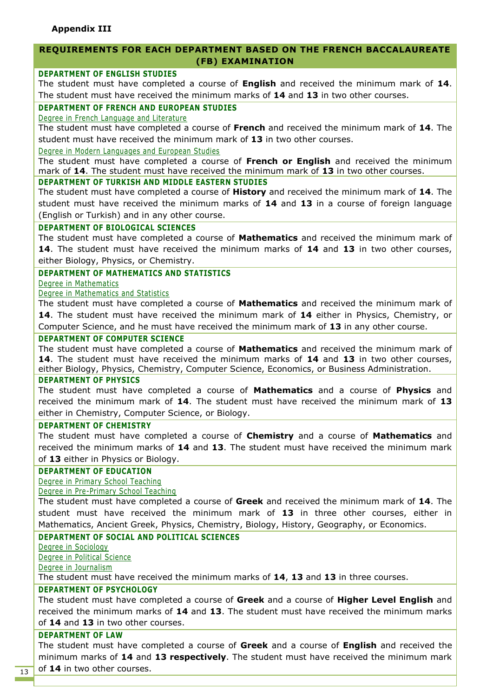## **REQUIREMENTS FOR EACH DEPARTMENT BASED ON THE FRENCH BACCALAUREATE (FB) EXAMINATION**

## **DEPARTMENT OF ENGLISH STUDIES**

The student must have completed a course of **English** and received the minimum mark of **14**. The student must have received the minimum marks of **14** and **13** in two other courses.

## **DEPARTMENT OF FRENCH AND EUROPEAN STUDIES**

#### Degree in French Language and Literature

The student must have completed a course of **French** and received the minimum mark of **14**. The student must have received the minimum mark of **13** in two other courses.

Degree in Modern Languages and European Studies

The student must have completed a course of **French or English** and received the minimum mark of **14**. The student must have received the minimum mark of **13** in two other courses.

## **DEPARTMENT OF TURKISH AND MIDDLE EASTERN STUDIES**

The student must have completed a course of **History** and received the minimum mark of **14**. The student must have received the minimum marks of **14** and **13** in a course of foreign language (English or Turkish) and in any other course.

### **DEPARTMENT OF BIOLOGICAL SCIENCES**

The student must have completed a course of **Mathematics** and received the minimum mark of **14**. The student must have received the minimum marks of **14** and **13** in two other courses, either Biology, Physics, or Chemistry.

## **DEPARTMENT OF MATHEMATICS AND STATISTICS**

Degree in Mathematics

### Degree in Mathematics and Statistics

The student must have completed a course of **Mathematics** and received the minimum mark of **14**. The student must have received the minimum mark of **14** either in Physics, Chemistry, or Computer Science, and he must have received the minimum mark of **13** in any other course.

### **DEPARTMENT OF COMPUTER SCIENCE**

The student must have completed a course of **Mathematics** and received the minimum mark of **14**. The student must have received the minimum marks of **14** and **13** in two other courses, either Biology, Physics, Chemistry, Computer Science, Economics, or Business Administration.

## **DEPARTMENT OF PHYSICS**

The student must have completed a course of **Mathematics** and a course of **Physics** and received the minimum mark of **14**. The student must have received the minimum mark of **13** either in Chemistry, Computer Science, or Biology.

## **DEPARTMENT OF CHEMISTRY**

The student must have completed a course of **Chemistry** and a course of **Mathematics** and received the minimum marks of **14** and **13**. The student must have received the minimum mark of **13** either in Physics or Biology.

## **DEPARTMENT OF EDUCATION**

Degree in Primary School Teaching

## Degree in Pre-Primary School Teaching

The student must have completed a course of **Greek** and received the minimum mark of **14**. The student must have received the minimum mark of **13** in three other courses, either in Mathematics, Ancient Greek, Physics, Chemistry, Biology, History, Geography, or Economics.

## **DEPARTMENT OF SOCIAL AND POLITICAL SCIENCES**

Degree in Sociology

Degree in Political Science

Degree in Journalism

The student must have received the minimum marks of **14**, **13** and **13** in three courses.

## **DEPARTMENT OF PSYCHOLOGY**

The student must have completed a course of **Greek** and a course of **Higher Level English** and received the minimum marks of **14** and **13**. The student must have received the minimum marks of **14** and **13** in two other courses.

#### **DEPARTMENT OF LAW**

The student must have completed a course of **Greek** and a course of **English** and received the minimum marks of **14** and **13 respectively**. The student must have received the minimum mark of **14** in two other courses.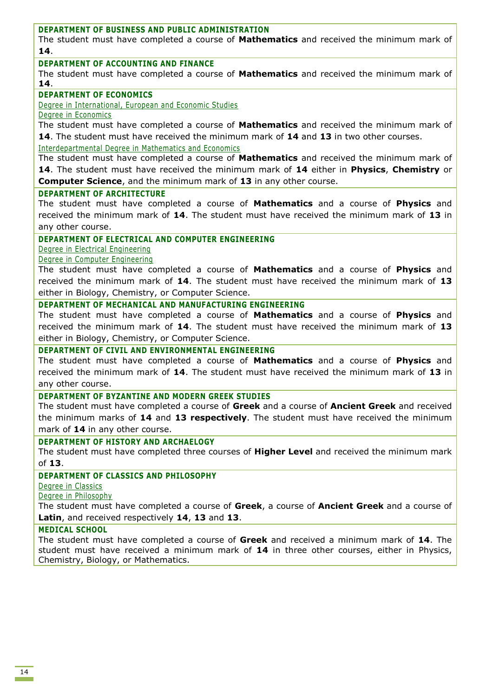## **DEPARTMENT OF BUSINESS AND PUBLIC ADMINISTRATION**

The student must have completed a course of **Mathematics** and received the minimum mark of **14**.

### **DEPARTMENT OF ACCOUNTING AND FINANCE**

The student must have completed a course of **Mathematics** and received the minimum mark of **14**.

## **DEPARTMENT OF ECONOMICS**

Degree in International, European and Economic Studies

Degree in Economics

The student must have completed a course of **Mathematics** and received the minimum mark of **14**. The student must have received the minimum mark of **14** and **13** in two other courses.

Interdepartmental Degree in Mathematics and Economics

The student must have completed a course of **Mathematics** and received the minimum mark of **14**. The student must have received the minimum mark of **14** either in **Physics**, **Chemistry** or **Computer Science**, and the minimum mark of **13** in any other course.

## **DEPARTMENT OF ARCHITECTURE**

The student must have completed a course of **Mathematics** and a course of **Physics** and received the minimum mark of **14**. The student must have received the minimum mark of **13** in any other course.

## **DEPARTMENT OF ELECTRICAL AND COMPUTER ENGINEERING**

Degree in Electrical Engineering

### Degree in Computer Engineering

The student must have completed a course of **Mathematics** and a course of **Physics** and received the minimum mark of **14**. The student must have received the minimum mark of **13** either in Biology, Chemistry, or Computer Science.

## **DEPARTMENT OF MECHANICAL AND MANUFACTURING ENGINEERING**

The student must have completed a course of **Mathematics** and a course of **Physics** and received the minimum mark of **14**. The student must have received the minimum mark of **13**  either in Biology, Chemistry, or Computer Science.

## **DEPARTMENT OF CIVIL AND ENVIRONMENTAL ENGINEERING**

The student must have completed a course of **Mathematics** and a course of **Physics** and received the minimum mark of **14**. The student must have received the minimum mark of **13** in any other course.

#### **DEPARTMENT OF BYZANTINE AND MODERN GREEK STUDIES**

The student must have completed a course of **Greek** and a course of **Ancient Greek** and received the minimum marks of **14** and **13 respectively**. The student must have received the minimum mark of **14** in any other course.

#### **DEPARTMENT OF HISTORY AND ARCHAELOGY**

The student must have completed three courses of **Higher Level** and received the minimum mark of **13**.

## **DEPARTMENT OF CLASSICS AND PHILOSOPHY**

Degree in Classics

Degree in Philosophy

The student must have completed a course of **Greek**, a course of **Ancient Greek** and a course of **Latin**, and received respectively **14**, **13** and **13**.

#### **MEDICAL SCHOOL**

The student must have completed a course of **Greek** and received a minimum mark of **14**. The student must have received a minimum mark of **14** in three other courses, either in Physics, Chemistry, Biology, or Mathematics.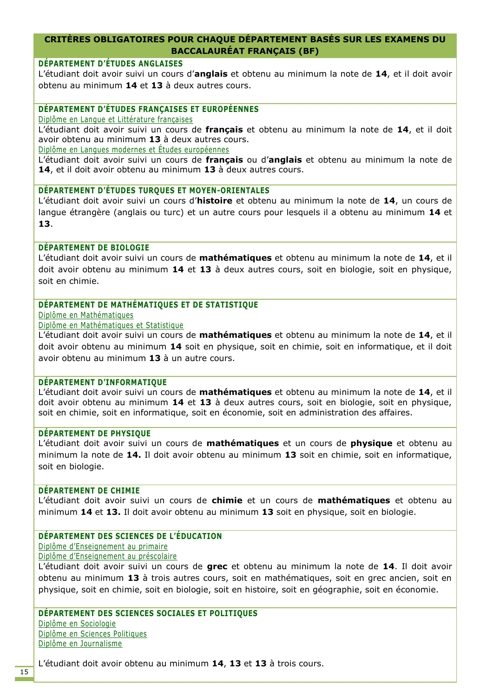# **CRITÈRES OBLIGATOIRES POUR CHAQUE DÉPARTEMENT BASÉS SUR LES EXAMENS DU BACCALAURÉAT FRANÇAIS (BF)**

# **DÉPARTEMENT D'ÉTUDES ANGLAISES**

L'étudiant doit avoir suivi un cours d'**anglais** et obtenu au minimum la note de **14**, et il doit avoir obtenu au minimum **14** et **13** à deux autres cours.

## **DÉPARTEMENT D'ÉTUDES FRANÇAISES ET EUROPÉENNES**

Diplôme en Langue et Littérature françaises

L'étudiant doit avoir suivi un cours de **français** et obtenu au minimum la note de **14**, et il doit avoir obtenu au minimum **13** à deux autres cours.

Diplôme en Langues modernes et Études européennes

L'étudiant doit avoir suivi un cours de **français** ou d'**anglais** et obtenu au minimum la note de **14**, et il doit avoir obtenu au minimum **13** à deux autres cours.

### **DÉPARTEMENT D'ÉTUDES TURQUES ET MOYEN-ORIENTALES**

L'étudiant doit avoir suivi un cours d'**histoire** et obtenu au minimum la note de **14**, un cours de langue étrangère (anglais ou turc) et un autre cours pour lesquels il a obtenu au minimum **14** et **13**.

### **DÉPARTEMENT DE BIOLOGIE**

L'étudiant doit avoir suivi un cours de **mathématiques** et obtenu au minimum la note de **14**, et il doit avoir obtenu au minimum **14** et **13** à deux autres cours, soit en biologie, soit en physique, soit en chimie.

## **DÉPARTEMENT DE MATHÉMATIQUES ET DE STATISTIQUE**

Diplôme en Mathématiques

Diplôme en Mathématiques et Statistique

L'étudiant doit avoir suivi un cours de **mathématiques** et obtenu au minimum la note de **14**, et il doit avoir obtenu au minimum **14** soit en physique, soit en chimie, soit en informatique, et il doit avoir obtenu au minimum **13** à un autre cours.

#### **DÉPARTEMENT D'INFORMATIQUE**

L'étudiant doit avoir suivi un cours de **mathématiques** et obtenu au minimum la note de **14**, et il doit avoir obtenu au minimum **14** et **13** à deux autres cours, soit en biologie, soit en physique, soit en chimie, soit en informatique, soit en économie, soit en administration des affaires.

#### **DÉPARTEMENT DE PHYSIQUE**

L'étudiant doit avoir suivi un cours de **mathématiques** et un cours de **physique** et obtenu au minimum la note de **14.** Il doit avoir obtenu au minimum **13** soit en chimie, soit en informatique, soit en biologie.

#### **DÉPARTEMENT DE CHIMIE**

L'étudiant doit avoir suivi un cours de **chimie** et un cours de **mathématiques** et obtenu au minimum **14** et **13.** Il doit avoir obtenu au minimum **13** soit en physique, soit en biologie.

## **DÉPARTEMENT DES SCIENCES DE L'ÉDUCATION**

Diplôme d'Enseignement au primaire Diplôme d'Enseignement au préscolaire

L'étudiant doit avoir suivi un cours de **grec** et obtenu au minimum la note de **14**. Il doit avoir obtenu au minimum **13** à trois autres cours, soit en mathématiques, soit en grec ancien, soit en physique, soit en chimie, soit en biologie, soit en histoire, soit en géographie, soit en économie.

## **DÉPARTEMENT DES SCIENCES SOCIALES ET POLITIQUES**

Diplôme en Sociologie Diplôme en Sciences Politiques Diplôme en Journalisme

L'étudiant doit avoir obtenu au minimum **14**, **13** et **13** à trois cours.